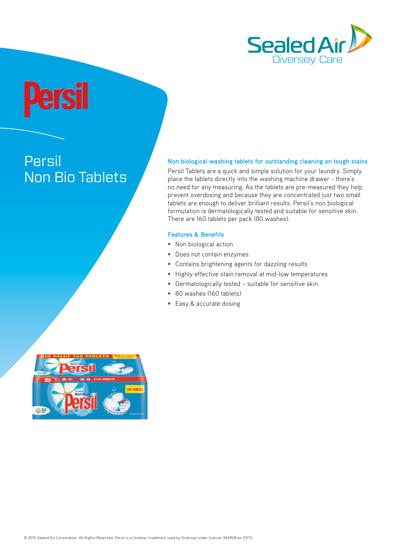

# **Persil** Non Bio Tablets

## **Non biological washing tablets for outstanding cleaning on tough stains**

Persil Tablets are a quick and simple solution for your laundry. Simply place the tablets directly into the washing machine drawer - there's no need for any measuring. As the tablets are pre-measured they help prevent overdosing and because they are concentrated just two small tablets are enough to deliver brilliant results. Persil's non biological formulation is dermatologically tested and suitable for sensitive skin. There are 160 tablets per pack (80 washes).

# **Features & Benefits**

- Non biological action
- Does not contain enzymes
- Contains brightening agents for dazzling results
- Highly effective stain removal at mid-low temperatures
- Dermatologically tested suitable for sensitive skin
- 80 washes (160 tablets)
- Easy & accurate dosing